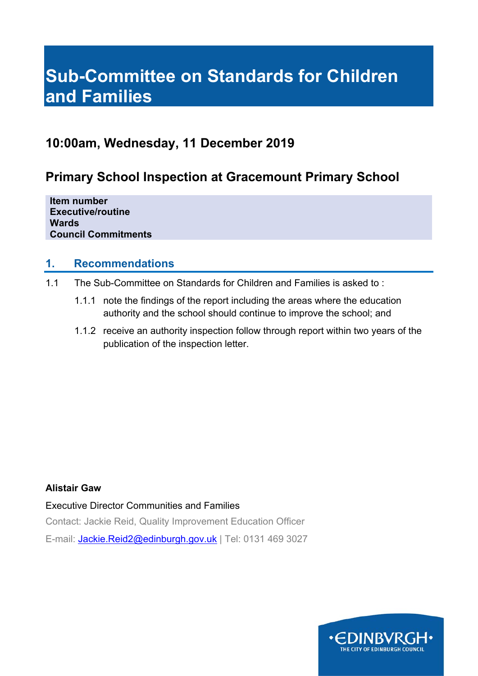# **Sub-Committee on Standards for Children and Families**

## **10:00am, Wednesday, 11 December 2019**

# **Primary School Inspection at Gracemount Primary School**

**Item number Executive/routine Wards Council Commitments** 

### **1. Recommendations**

- 1.1 The Sub-Committee on Standards for Children and Families is asked to :
	- 1.1.1 note the findings of the report including the areas where the education authority and the school should continue to improve the school; and
	- 1.1.2 receive an authority inspection follow through report within two years of the publication of the inspection letter.

### **Alistair Gaw**

Executive Director Communities and Families

Contact: Jackie Reid, Quality Improvement Education Officer

E-mail: Jackie.Reid2@edinburgh.gov.uk | Tel: 0131 469 3027

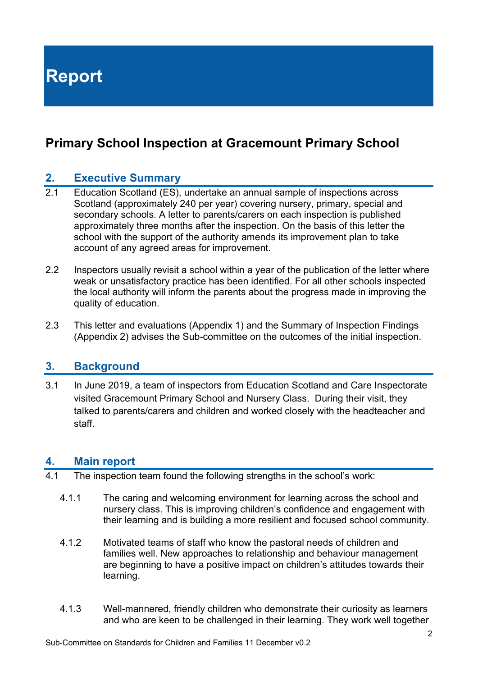**Report** 

# **Primary School Inspection at Gracemount Primary School**

### **2. Executive Summary**

- 2.1 Education Scotland (ES), undertake an annual sample of inspections across Scotland (approximately 240 per year) covering nursery, primary, special and secondary schools. A letter to parents/carers on each inspection is published approximately three months after the inspection. On the basis of this letter the school with the support of the authority amends its improvement plan to take account of any agreed areas for improvement.
- 2.2 Inspectors usually revisit a school within a year of the publication of the letter where weak or unsatisfactory practice has been identified. For all other schools inspected the local authority will inform the parents about the progress made in improving the quality of education.
- 2.3 This letter and evaluations (Appendix 1) and the Summary of Inspection Findings (Appendix 2) advises the Sub-committee on the outcomes of the initial inspection.

### **3. Background**

3.1 In June 2019, a team of inspectors from Education Scotland and Care Inspectorate visited Gracemount Primary School and Nursery Class. During their visit, they talked to parents/carers and children and worked closely with the headteacher and staff.

### **4. Main report**

- 4.1 The inspection team found the following strengths in the school's work:
	- 4.1.1 The caring and welcoming environment for learning across the school and nursery class. This is improving children's confidence and engagement with their learning and is building a more resilient and focused school community.
	- 4.1.2 Motivated teams of staff who know the pastoral needs of children and families well. New approaches to relationship and behaviour management are beginning to have a positive impact on children's attitudes towards their learning.
	- 4.1.3 Well-mannered, friendly children who demonstrate their curiosity as learners and who are keen to be challenged in their learning. They work well together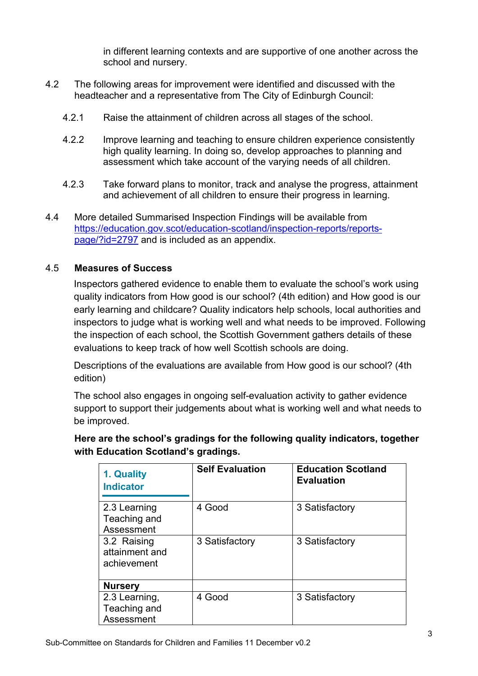in different learning contexts and are supportive of one another across the school and nursery.

- 4.2 The following areas for improvement were identified and discussed with the headteacher and a representative from The City of Edinburgh Council:
	- 4.2.1 Raise the attainment of children across all stages of the school.
	- 4.2.2 Improve learning and teaching to ensure children experience consistently high quality learning. In doing so, develop approaches to planning and assessment which take account of the varying needs of all children.
	- 4.2.3 Take forward plans to monitor, track and analyse the progress, attainment and achievement of all children to ensure their progress in learning.
- 4.4 More detailed Summarised Inspection Findings will be available from https://education.gov.scot/education-scotland/inspection-reports/reportspage/?id=2797 and is included as an appendix.

### 4.5 **Measures of Success**

Inspectors gathered evidence to enable them to evaluate the school's work using quality indicators from How good is our school? (4th edition) and How good is our early learning and childcare? Quality indicators help schools, local authorities and inspectors to judge what is working well and what needs to be improved. Following the inspection of each school, the Scottish Government gathers details of these evaluations to keep track of how well Scottish schools are doing.

Descriptions of the evaluations are available from How good is our school? (4th edition)

The school also engages in ongoing self-evaluation activity to gather evidence support to support their judgements about what is working well and what needs to be improved.

**Here are the school's gradings for the following quality indicators, together with Education Scotland's gradings.** 

| 1. Quality<br><b>Indicator</b>               | <b>Self Evaluation</b> | <b>Education Scotland</b><br><b>Evaluation</b> |
|----------------------------------------------|------------------------|------------------------------------------------|
| 2.3 Learning<br>Teaching and<br>Assessment   | 4 Good                 | 3 Satisfactory                                 |
| 3.2 Raising<br>attainment and<br>achievement | 3 Satisfactory         | 3 Satisfactory                                 |
| <b>Nursery</b>                               |                        |                                                |
| 2.3 Learning,<br>Teaching and<br>Assessment  | 4 Good                 | 3 Satisfactory                                 |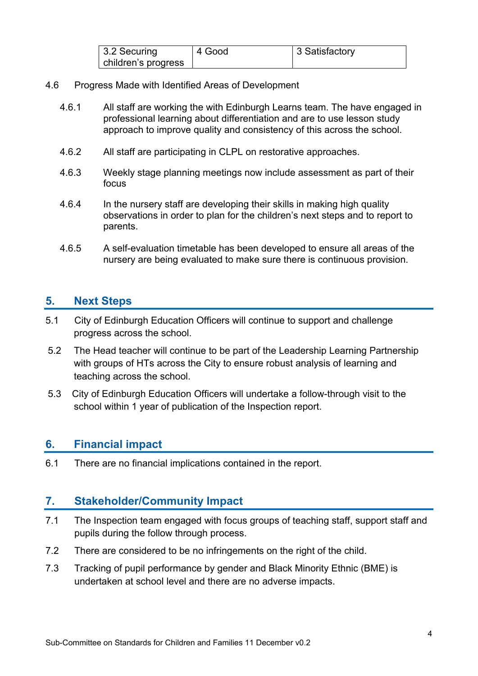| $\vert$ 3.2 Securing | 4 Good | 3 Satisfactory |
|----------------------|--------|----------------|
| children's progress  |        |                |

- 4.6 Progress Made with Identified Areas of Development
	- 4.6.1 All staff are working the with Edinburgh Learns team. The have engaged in professional learning about differentiation and are to use lesson study approach to improve quality and consistency of this across the school.
	- 4.6.2 All staff are participating in CLPL on restorative approaches.
	- 4.6.3 Weekly stage planning meetings now include assessment as part of their focus
	- 4.6.4 In the nursery staff are developing their skills in making high quality observations in order to plan for the children's next steps and to report to parents.
	- 4.6.5 A self-evaluation timetable has been developed to ensure all areas of the nursery are being evaluated to make sure there is continuous provision.

### **5. Next Steps**

- 5.1 City of Edinburgh Education Officers will continue to support and challenge progress across the school.
- 5.2 The Head teacher will continue to be part of the Leadership Learning Partnership with groups of HTs across the City to ensure robust analysis of learning and teaching across the school.
- 5.3 City of Edinburgh Education Officers will undertake a follow-through visit to the school within 1 year of publication of the Inspection report.

### **6. Financial impact**

6.1 There are no financial implications contained in the report.

### **7. Stakeholder/Community Impact**

- 7.1 The Inspection team engaged with focus groups of teaching staff, support staff and pupils during the follow through process.
- 7.2 There are considered to be no infringements on the right of the child.
- 7.3 Tracking of pupil performance by gender and Black Minority Ethnic (BME) is undertaken at school level and there are no adverse impacts.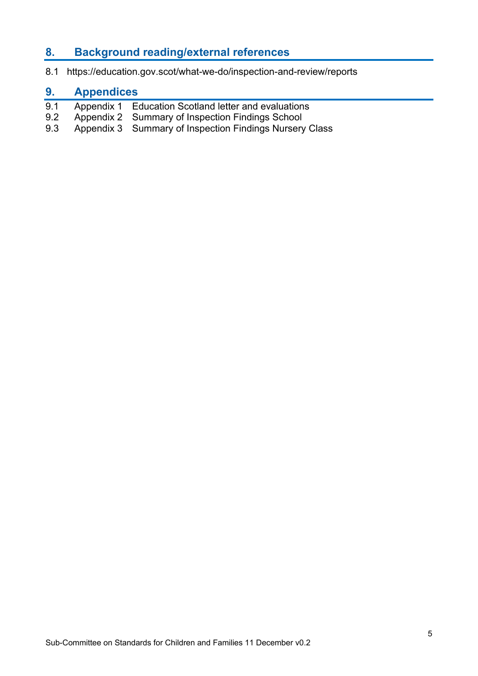### **8. Background reading/external references**

8.1 https://education.gov.scot/what-we-do/inspection-and-review/reports

### **9. Appendices**

- 9.1 Appendix 1 Education Scotland letter and evaluations
- 9.2 Appendix 2 Summary of Inspection Findings School
- 9.3 Appendix 3 Summary of Inspection Findings Nursery Class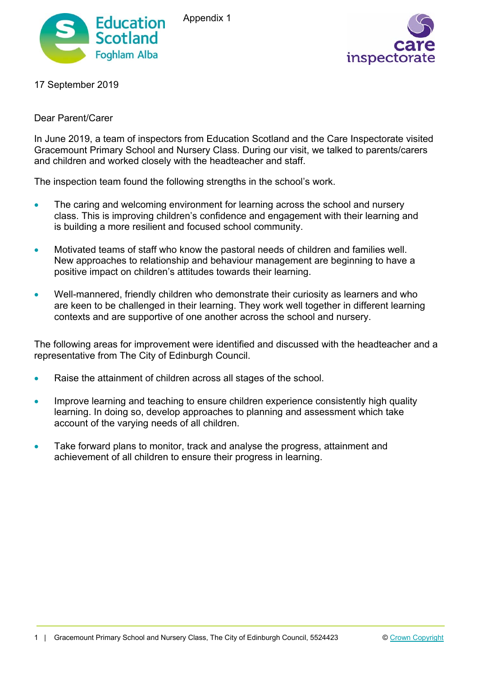

Appendix 1



17 September 2019

### Dear Parent/Carer

In June 2019, a team of inspectors from Education Scotland and the Care Inspectorate visited Gracemount Primary School and Nursery Class. During our visit, we talked to parents/carers and children and worked closely with the headteacher and staff.

The inspection team found the following strengths in the school's work.

- The caring and welcoming environment for learning across the school and nursery class. This is improving children's confidence and engagement with their learning and is building a more resilient and focused school community.
- Motivated teams of staff who know the pastoral needs of children and families well. New approaches to relationship and behaviour management are beginning to have a positive impact on children's attitudes towards their learning.
- Well-mannered, friendly children who demonstrate their curiosity as learners and who are keen to be challenged in their learning. They work well together in different learning contexts and are supportive of one another across the school and nursery.

The following areas for improvement were identified and discussed with the headteacher and a representative from The City of Edinburgh Council.

- Raise the attainment of children across all stages of the school.
- Improve learning and teaching to ensure children experience consistently high quality learning. In doing so, develop approaches to planning and assessment which take account of the varying needs of all children.
- Take forward plans to monitor, track and analyse the progress, attainment and achievement of all children to ensure their progress in learning.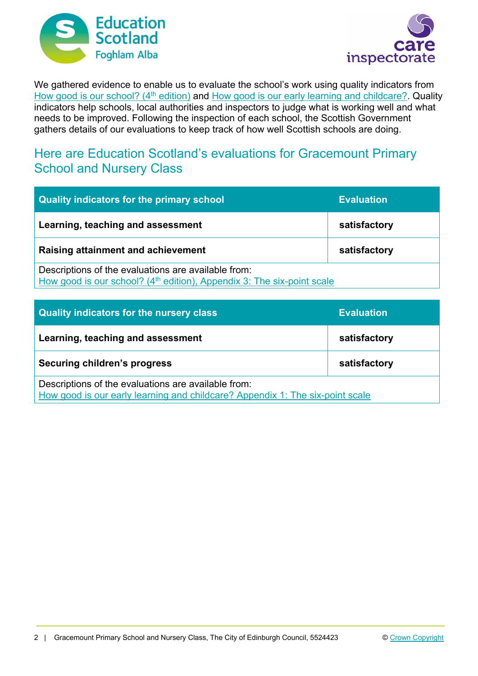



We gathered evidence to enable us to evaluate the school's work using quality indicators from How good is our school? (4<sup>th</sup> edition) and How good is our early learning and childcare? Quality indicators help schools, local authorities and inspectors to judge what is working well and what needs to be improved. Following the inspection of each school, the Scottish Government gathers details of our evaluations to keep track of how well Scottish schools are doing.

## Here are Education Scotland's evaluations for Gracemount Primary School and Nursery Class

| Quality indicators for the primary school                                                                                                 | <b>Evaluation</b> |
|-------------------------------------------------------------------------------------------------------------------------------------------|-------------------|
| Learning, teaching and assessment                                                                                                         | satisfactory      |
| Raising attainment and achievement                                                                                                        | satisfactory      |
| Descriptions of the evaluations are available from:<br>How good is our school? (4 <sup>th</sup> edition), Appendix 3: The six-point scale |                   |

| <b>Quality indicators for the nursery class</b>                                                                                      | <b>Evaluation</b> |
|--------------------------------------------------------------------------------------------------------------------------------------|-------------------|
| Learning, teaching and assessment                                                                                                    | satisfactory      |
| Securing children's progress                                                                                                         | satisfactory      |
| Descriptions of the evaluations are available from:<br>How good is our early learning and childcare? Appendix 1: The six-point scale |                   |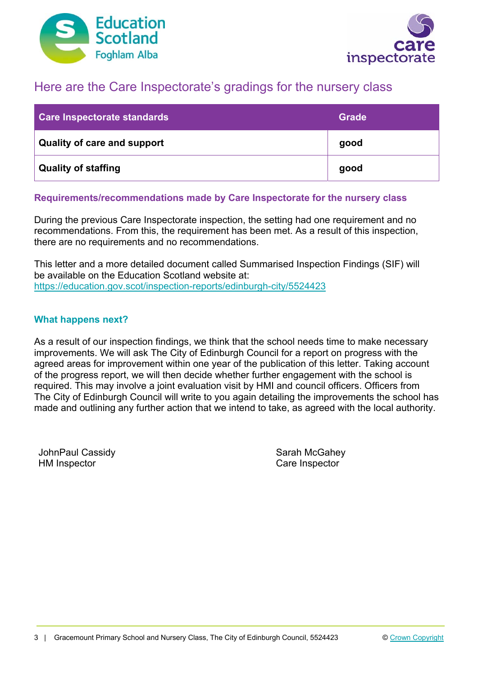



## Here are the Care Inspectorate's gradings for the nursery class

| Care Inspectorate standards        | <b>Grade</b> |
|------------------------------------|--------------|
| <b>Quality of care and support</b> | good         |
| Quality of staffing                | good         |

### **Requirements/recommendations made by Care Inspectorate for the nursery class**

During the previous Care Inspectorate inspection, the setting had one requirement and no recommendations. From this, the requirement has been met. As a result of this inspection, there are no requirements and no recommendations.

This letter and a more detailed document called Summarised Inspection Findings (SIF) will be available on the Education Scotland website at: https://education.gov.scot/inspection-reports/edinburgh-city/5524423

### **What happens next?**

As a result of our inspection findings, we think that the school needs time to make necessary improvements. We will ask The City of Edinburgh Council for a report on progress with the agreed areas for improvement within one year of the publication of this letter. Taking account of the progress report, we will then decide whether further engagement with the school is required. This may involve a joint evaluation visit by HMI and council officers. Officers from The City of Edinburgh Council will write to you again detailing the improvements the school has made and outlining any further action that we intend to take, as agreed with the local authority.

JohnPaul Cassidy **Sarah McGahey** Sarah McGahey HM Inspector Care Inspector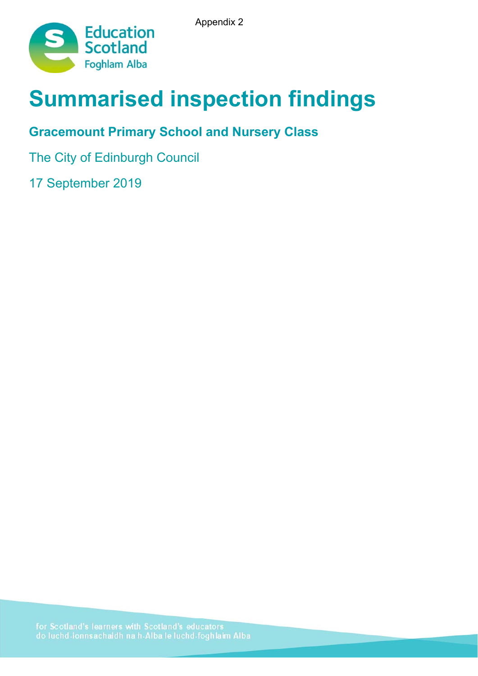Appendix 2



# **Summarised inspection findings**

# **Gracemount Primary School and Nursery Class**

The City of Edinburgh Council

17 September 2019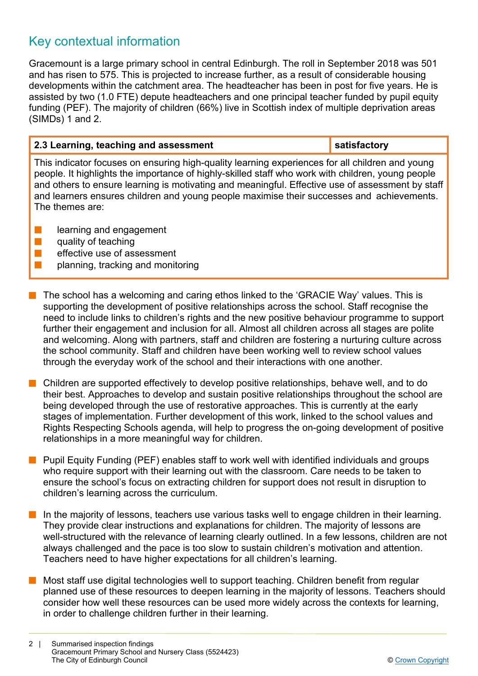# Key contextual information

Gracemount is a large primary school in central Edinburgh. The roll in September 2018 was 501 and has risen to 575. This is projected to increase further, as a result of considerable housing developments within the catchment area. The headteacher has been in post for five years. He is assisted by two (1.0 FTE) depute headteachers and one principal teacher funded by pupil equity funding (PEF). The majority of children (66%) live in Scottish index of multiple deprivation areas (SIMDs) 1 and 2.

### **2.3 Learning, teaching and assessment satisfactory** satisfactory

This indicator focuses on ensuring high-quality learning experiences for all children and young people. It highlights the importance of highly-skilled staff who work with children, young people and others to ensure learning is motivating and meaningful. Effective use of assessment by staff and learners ensures children and young people maximise their successes and achievements. The themes are:

- $\blacksquare$  learning and engagement
- $\blacksquare$  quality of teaching
- $\blacksquare$  effective use of assessment
- $\blacksquare$  planning, tracking and monitoring
- $\blacksquare$  The school has a welcoming and caring ethos linked to the 'GRACIE Way' values. This is supporting the development of positive relationships across the school. Staff recognise the need to include links to children's rights and the new positive behaviour programme to support further their engagement and inclusion for all. Almost all children across all stages are polite and welcoming. Along with partners, staff and children are fostering a nurturing culture across the school community. Staff and children have been working well to review school values through the everyday work of the school and their interactions with one another.
- $\blacksquare$  Children are supported effectively to develop positive relationships, behave well, and to do their best. Approaches to develop and sustain positive relationships throughout the school are being developed through the use of restorative approaches. This is currently at the early stages of implementation. Further development of this work, linked to the school values and Rights Respecting Schools agenda, will help to progress the on-going development of positive relationships in a more meaningful way for children.
- **n** Pupil Equity Funding (PEF) enables staff to work well with identified individuals and groups who require support with their learning out with the classroom. Care needs to be taken to ensure the school's focus on extracting children for support does not result in disruption to children's learning across the curriculum.
- $\blacksquare$  In the majority of lessons, teachers use various tasks well to engage children in their learning. They provide clear instructions and explanations for children. The majority of lessons are well-structured with the relevance of learning clearly outlined. In a few lessons, children are not always challenged and the pace is too slow to sustain children's motivation and attention. Teachers need to have higher expectations for all children's learning.
- $\blacksquare$  Most staff use digital technologies well to support teaching. Children benefit from regular planned use of these resources to deepen learning in the majority of lessons. Teachers should consider how well these resources can be used more widely across the contexts for learning, in order to challenge children further in their learning.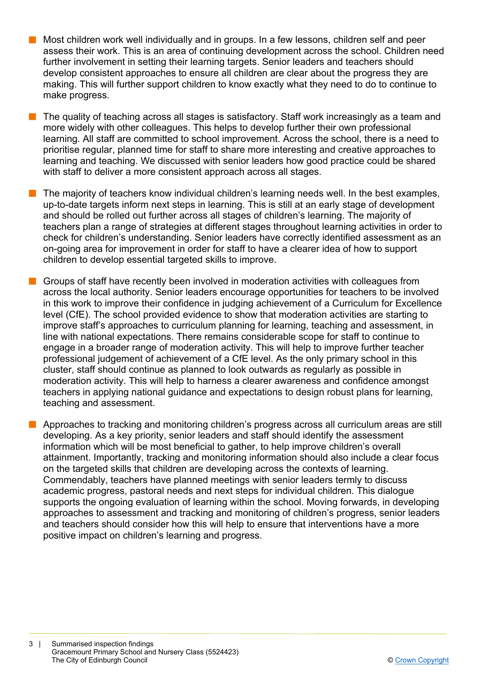- n Most children work well individually and in groups. In a few lessons, children self and peer assess their work. This is an area of continuing development across the school. Children need further involvement in setting their learning targets. Senior leaders and teachers should develop consistent approaches to ensure all children are clear about the progress they are making. This will further support children to know exactly what they need to do to continue to make progress.
- The quality of teaching across all stages is satisfactory. Staff work increasingly as a team and more widely with other colleagues. This helps to develop further their own professional learning. All staff are committed to school improvement. Across the school, there is a need to prioritise regular, planned time for staff to share more interesting and creative approaches to learning and teaching. We discussed with senior leaders how good practice could be shared with staff to deliver a more consistent approach across all stages.
- n The majority of teachers know individual children's learning needs well. In the best examples, up-to-date targets inform next steps in learning. This is still at an early stage of development and should be rolled out further across all stages of children's learning. The majority of teachers plan a range of strategies at different stages throughout learning activities in order to check for children's understanding. Senior leaders have correctly identified assessment as an on-going area for improvement in order for staff to have a clearer idea of how to support children to develop essential targeted skills to improve.
- n Groups of staff have recently been involved in moderation activities with colleagues from across the local authority. Senior leaders encourage opportunities for teachers to be involved in this work to improve their confidence in judging achievement of a Curriculum for Excellence level (CfE). The school provided evidence to show that moderation activities are starting to improve staff's approaches to curriculum planning for learning, teaching and assessment, in line with national expectations. There remains considerable scope for staff to continue to engage in a broader range of moderation activity. This will help to improve further teacher professional judgement of achievement of a CfE level. As the only primary school in this cluster, staff should continue as planned to look outwards as regularly as possible in moderation activity. This will help to harness a clearer awareness and confidence amongst teachers in applying national guidance and expectations to design robust plans for learning, teaching and assessment.
- **n** Approaches to tracking and monitoring children's progress across all curriculum areas are still developing. As a key priority, senior leaders and staff should identify the assessment information which will be most beneficial to gather, to help improve children's overall attainment. Importantly, tracking and monitoring information should also include a clear focus on the targeted skills that children are developing across the contexts of learning. Commendably, teachers have planned meetings with senior leaders termly to discuss academic progress, pastoral needs and next steps for individual children. This dialogue supports the ongoing evaluation of learning within the school. Moving forwards, in developing approaches to assessment and tracking and monitoring of children's progress, senior leaders and teachers should consider how this will help to ensure that interventions have a more positive impact on children's learning and progress.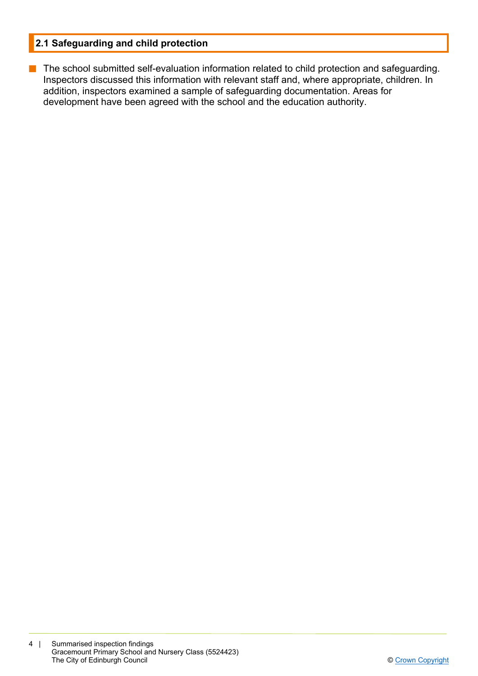### **2.1 Safeguarding and child protection**

**n** The school submitted self-evaluation information related to child protection and safeguarding. Inspectors discussed this information with relevant staff and, where appropriate, children. In addition, inspectors examined a sample of safeguarding documentation. Areas for development have been agreed with the school and the education authority.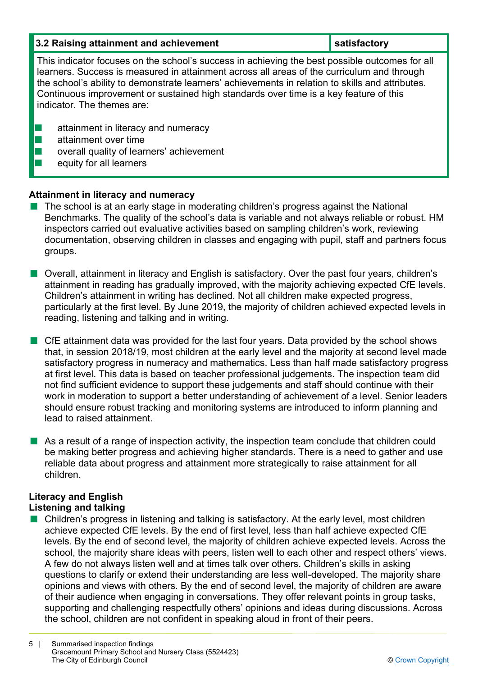| 3.2 Raising attainment and achievement                                                                                                                                                                                                                                                                                                                                                                                  | satisfactory |
|-------------------------------------------------------------------------------------------------------------------------------------------------------------------------------------------------------------------------------------------------------------------------------------------------------------------------------------------------------------------------------------------------------------------------|--------------|
| This indicator focuses on the school's success in achieving the best possible outcomes for all<br>learners. Success is measured in attainment across all areas of the curriculum and through<br>the school's ability to demonstrate learners' achievements in relation to skills and attributes.<br>Continuous improvement or sustained high standards over time is a key feature of this<br>indicator. The themes are: |              |
| attainment in literacy and numeracy<br>attainment over time<br>overall quality of learners' achievement<br>equity for all learners                                                                                                                                                                                                                                                                                      |              |

### **Attainment in literacy and numeracy**

- The school is at an early stage in moderating children's progress against the National Benchmarks. The quality of the school's data is variable and not always reliable or robust. HM inspectors carried out evaluative activities based on sampling children's work, reviewing documentation, observing children in classes and engaging with pupil, staff and partners focus groups.
- Overall, attainment in literacy and English is satisfactory. Over the past four years, children's attainment in reading has gradually improved, with the majority achieving expected CfE levels. Children's attainment in writing has declined. Not all children make expected progress, particularly at the first level. By June 2019, the majority of children achieved expected levels in reading, listening and talking and in writing.
- $\blacksquare$  CfE attainment data was provided for the last four years. Data provided by the school shows that, in session 2018/19, most children at the early level and the majority at second level made satisfactory progress in numeracy and mathematics. Less than half made satisfactory progress at first level. This data is based on teacher professional judgements. The inspection team did not find sufficient evidence to support these judgements and staff should continue with their work in moderation to support a better understanding of achievement of a level. Senior leaders should ensure robust tracking and monitoring systems are introduced to inform planning and lead to raised attainment.
- $\blacksquare$  As a result of a range of inspection activity, the inspection team conclude that children could be making better progress and achieving higher standards. There is a need to gather and use reliable data about progress and attainment more strategically to raise attainment for all children.

# **Literacy and English**

- **Listening and talking**
- $\blacksquare$  Children's progress in listening and talking is satisfactory. At the early level, most children achieve expected CfE levels. By the end of first level, less than half achieve expected CfE levels. By the end of second level, the majority of children achieve expected levels. Across the school, the majority share ideas with peers, listen well to each other and respect others' views. A few do not always listen well and at times talk over others. Children's skills in asking questions to clarify or extend their understanding are less well-developed. The majority share opinions and views with others. By the end of second level, the majority of children are aware of their audience when engaging in conversations. They offer relevant points in group tasks, supporting and challenging respectfully others' opinions and ideas during discussions. Across the school, children are not confident in speaking aloud in front of their peers.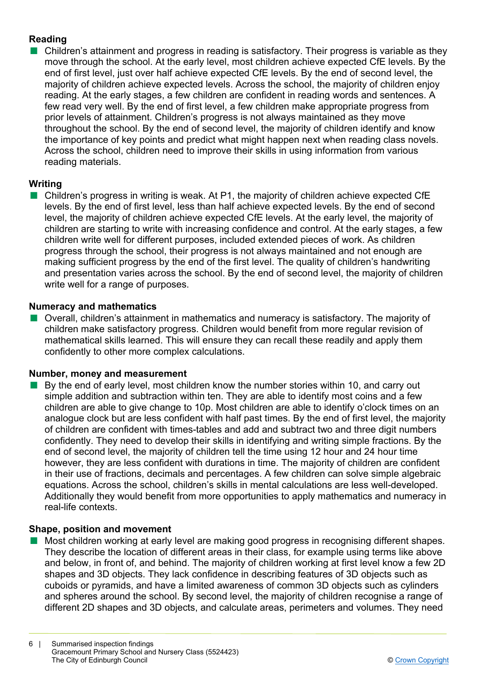### **Reading**

 $\blacksquare$  Children's attainment and progress in reading is satisfactory. Their progress is variable as they move through the school. At the early level, most children achieve expected CfE levels. By the end of first level, just over half achieve expected CfE levels. By the end of second level, the majority of children achieve expected levels. Across the school, the majority of children enjoy reading. At the early stages, a few children are confident in reading words and sentences. A few read very well. By the end of first level, a few children make appropriate progress from prior levels of attainment. Children's progress is not always maintained as they move throughout the school. By the end of second level, the majority of children identify and know the importance of key points and predict what might happen next when reading class novels. Across the school, children need to improve their skills in using information from various reading materials.

### **Writing**

 $\blacksquare$  Children's progress in writing is weak. At P1, the majority of children achieve expected CfE levels. By the end of first level, less than half achieve expected levels. By the end of second level, the majority of children achieve expected CfE levels. At the early level, the majority of children are starting to write with increasing confidence and control. At the early stages, a few children write well for different purposes, included extended pieces of work. As children progress through the school, their progress is not always maintained and not enough are making sufficient progress by the end of the first level. The quality of children's handwriting and presentation varies across the school. By the end of second level, the majority of children write well for a range of purposes.

### **Numeracy and mathematics**

**n** Overall, children's attainment in mathematics and numeracy is satisfactory. The majority of children make satisfactory progress. Children would benefit from more regular revision of mathematical skills learned. This will ensure they can recall these readily and apply them confidently to other more complex calculations.

### **Number, money and measurement**

By the end of early level, most children know the number stories within 10, and carry out simple addition and subtraction within ten. They are able to identify most coins and a few children are able to give change to 10p. Most children are able to identify o'clock times on an analogue clock but are less confident with half past times. By the end of first level, the majority of children are confident with times-tables and add and subtract two and three digit numbers confidently. They need to develop their skills in identifying and writing simple fractions. By the end of second level, the majority of children tell the time using 12 hour and 24 hour time however, they are less confident with durations in time. The majority of children are confident in their use of fractions, decimals and percentages. A few children can solve simple algebraic equations. Across the school, children's skills in mental calculations are less well-developed. Additionally they would benefit from more opportunities to apply mathematics and numeracy in real-life contexts.

### **Shape, position and movement**

n Most children working at early level are making good progress in recognising different shapes. They describe the location of different areas in their class, for example using terms like above and below, in front of, and behind. The majority of children working at first level know a few 2D shapes and 3D objects. They lack confidence in describing features of 3D objects such as cuboids or pyramids, and have a limited awareness of common 3D objects such as cylinders and spheres around the school. By second level, the majority of children recognise a range of different 2D shapes and 3D objects, and calculate areas, perimeters and volumes. They need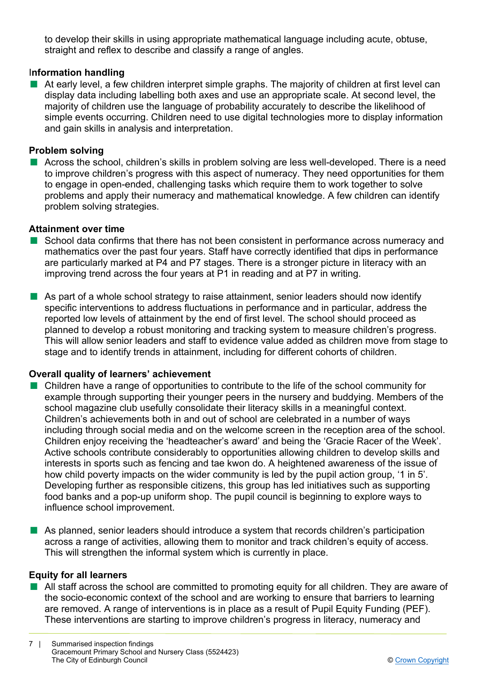to develop their skills in using appropriate mathematical language including acute, obtuse, straight and reflex to describe and classify a range of angles.

### I**nformation handling**

 $\blacksquare$  At early level, a few children interpret simple graphs. The majority of children at first level can display data including labelling both axes and use an appropriate scale. At second level, the majority of children use the language of probability accurately to describe the likelihood of simple events occurring. Children need to use digital technologies more to display information and gain skills in analysis and interpretation.

#### **Problem solving**

**n** Across the school, children's skills in problem solving are less well-developed. There is a need to improve children's progress with this aspect of numeracy. They need opportunities for them to engage in open-ended, challenging tasks which require them to work together to solve problems and apply their numeracy and mathematical knowledge. A few children can identify problem solving strategies.

#### **Attainment over time**

- School data confirms that there has not been consistent in performance across numeracy and mathematics over the past four years. Staff have correctly identified that dips in performance are particularly marked at P4 and P7 stages. There is a stronger picture in literacy with an improving trend across the four years at P1 in reading and at P7 in writing.
- $\blacksquare$  As part of a whole school strategy to raise attainment, senior leaders should now identify specific interventions to address fluctuations in performance and in particular, address the reported low levels of attainment by the end of first level. The school should proceed as planned to develop a robust monitoring and tracking system to measure children's progress. This will allow senior leaders and staff to evidence value added as children move from stage to stage and to identify trends in attainment, including for different cohorts of children.

### **Overall quality of learners' achievement**

- $\blacksquare$  Children have a range of opportunities to contribute to the life of the school community for example through supporting their younger peers in the nursery and buddying. Members of the school magazine club usefully consolidate their literacy skills in a meaningful context. Children's achievements both in and out of school are celebrated in a number of ways including through social media and on the welcome screen in the reception area of the school. Children enjoy receiving the 'headteacher's award' and being the 'Gracie Racer of the Week'. Active schools contribute considerably to opportunities allowing children to develop skills and interests in sports such as fencing and tae kwon do. A heightened awareness of the issue of how child poverty impacts on the wider community is led by the pupil action group, '1 in 5'. Developing further as responsible citizens, this group has led initiatives such as supporting food banks and a pop-up uniform shop. The pupil council is beginning to explore ways to influence school improvement.
- As planned, senior leaders should introduce a system that records children's participation across a range of activities, allowing them to monitor and track children's equity of access. This will strengthen the informal system which is currently in place.

### **Equity for all learners**

■ All staff across the school are committed to promoting equity for all children. They are aware of the socio-economic context of the school and are working to ensure that barriers to learning are removed. A range of interventions is in place as a result of Pupil Equity Funding (PEF). These interventions are starting to improve children's progress in literacy, numeracy and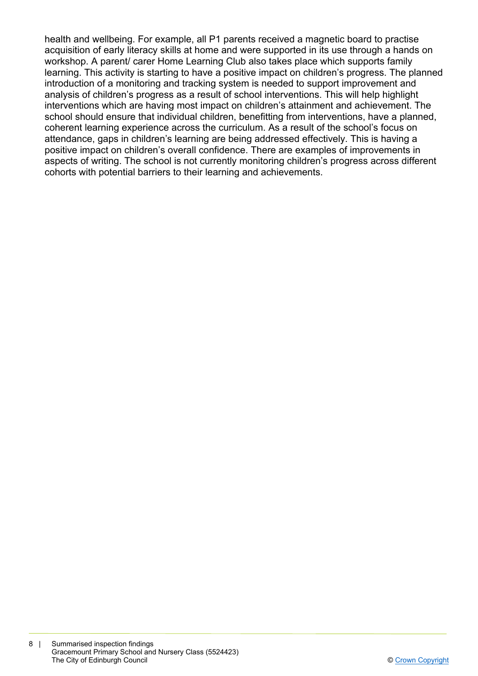health and wellbeing. For example, all P1 parents received a magnetic board to practise acquisition of early literacy skills at home and were supported in its use through a hands on workshop. A parent/ carer Home Learning Club also takes place which supports family learning. This activity is starting to have a positive impact on children's progress. The planned introduction of a monitoring and tracking system is needed to support improvement and analysis of children's progress as a result of school interventions. This will help highlight interventions which are having most impact on children's attainment and achievement. The school should ensure that individual children, benefitting from interventions, have a planned, coherent learning experience across the curriculum. As a result of the school's focus on attendance, gaps in children's learning are being addressed effectively. This is having a positive impact on children's overall confidence. There are examples of improvements in aspects of writing. The school is not currently monitoring children's progress across different cohorts with potential barriers to their learning and achievements.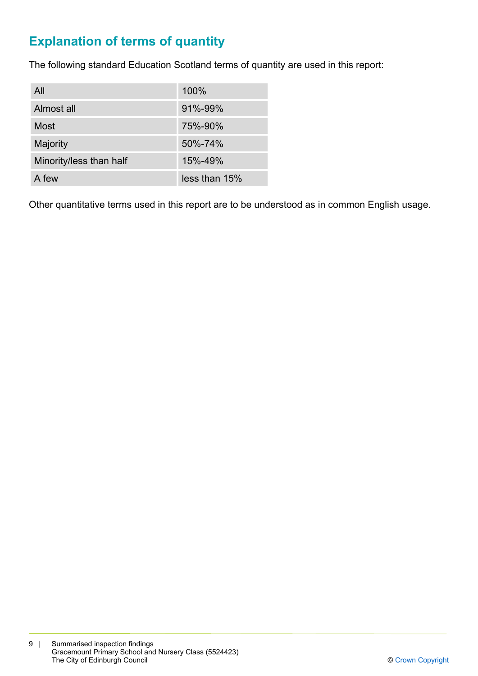# **Explanation of terms of quantity**

The following standard Education Scotland terms of quantity are used in this report:

| All                     | 100%          |
|-------------------------|---------------|
| Almost all              | 91%-99%       |
| Most                    | 75%-90%       |
| Majority                | 50%-74%       |
| Minority/less than half | 15%-49%       |
| A few                   | less than 15% |

Other quantitative terms used in this report are to be understood as in common English usage.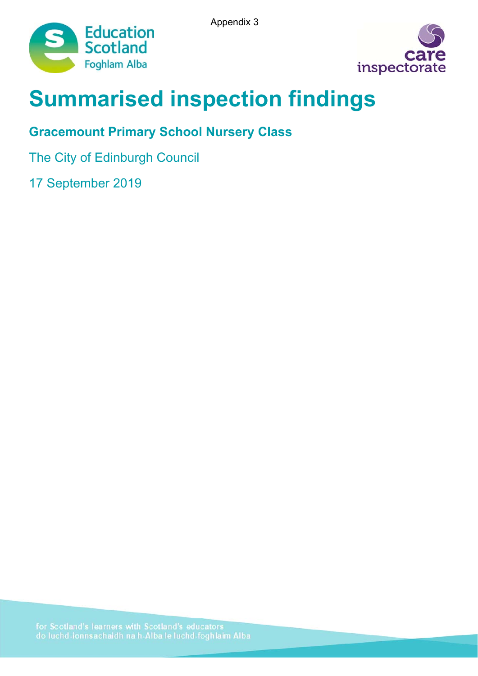Appendix 3





# **Summarised inspection findings**

# **Gracemount Primary School Nursery Class**

The City of Edinburgh Council

17 September 2019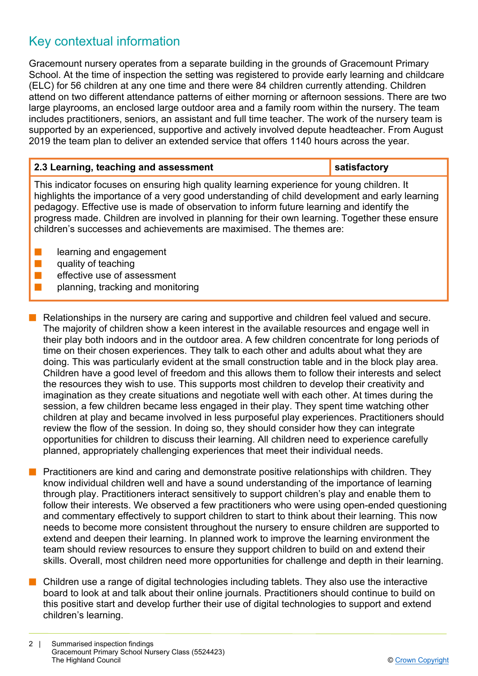# Key contextual information

Gracemount nursery operates from a separate building in the grounds of Gracemount Primary School. At the time of inspection the setting was registered to provide early learning and childcare (ELC) for 56 children at any one time and there were 84 children currently attending. Children attend on two different attendance patterns of either morning or afternoon sessions. There are two large playrooms, an enclosed large outdoor area and a family room within the nursery. The team includes practitioners, seniors, an assistant and full time teacher. The work of the nursery team is supported by an experienced, supportive and actively involved depute headteacher. From August 2019 the team plan to deliver an extended service that offers 1140 hours across the year.

| satisfactory<br>2.3 Learning, teaching and assessment |
|-------------------------------------------------------|
|-------------------------------------------------------|

This indicator focuses on ensuring high quality learning experience for young children. It highlights the importance of a very good understanding of child development and early learning pedagogy. Effective use is made of observation to inform future learning and identify the progress made. Children are involved in planning for their own learning. Together these ensure children's successes and achievements are maximised. The themes are:

- learning and engagement
- $\blacksquare$  quality of teaching
- $\blacksquare$  effective use of assessment
- $\blacksquare$  planning, tracking and monitoring
- $\blacksquare$  Relationships in the nursery are caring and supportive and children feel valued and secure. The majority of children show a keen interest in the available resources and engage well in their play both indoors and in the outdoor area. A few children concentrate for long periods of time on their chosen experiences. They talk to each other and adults about what they are doing. This was particularly evident at the small construction table and in the block play area. Children have a good level of freedom and this allows them to follow their interests and select the resources they wish to use. This supports most children to develop their creativity and imagination as they create situations and negotiate well with each other. At times during the session, a few children became less engaged in their play. They spent time watching other children at play and became involved in less purposeful play experiences. Practitioners should review the flow of the session. In doing so, they should consider how they can integrate opportunities for children to discuss their learning. All children need to experience carefully planned, appropriately challenging experiences that meet their individual needs.
- **n** Practitioners are kind and caring and demonstrate positive relationships with children. They know individual children well and have a sound understanding of the importance of learning through play. Practitioners interact sensitively to support children's play and enable them to follow their interests. We observed a few practitioners who were using open-ended questioning and commentary effectively to support children to start to think about their learning. This now needs to become more consistent throughout the nursery to ensure children are supported to extend and deepen their learning. In planned work to improve the learning environment the team should review resources to ensure they support children to build on and extend their skills. Overall, most children need more opportunities for challenge and depth in their learning.
- $\blacksquare$  Children use a range of digital technologies including tablets. They also use the interactive board to look at and talk about their online journals. Practitioners should continue to build on this positive start and develop further their use of digital technologies to support and extend children's learning.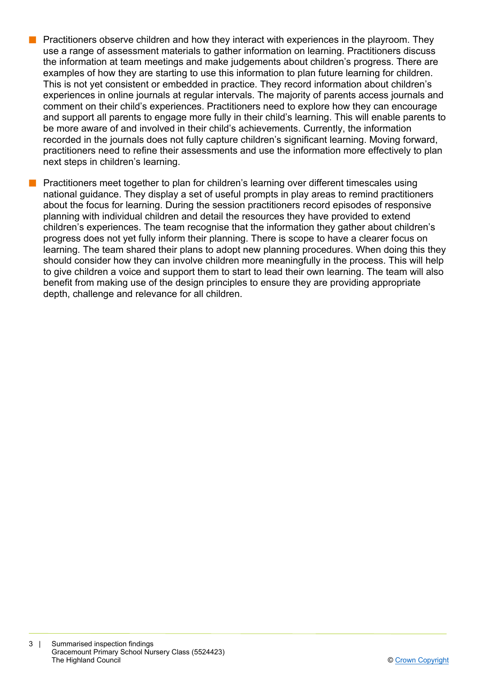- **n** Practitioners observe children and how they interact with experiences in the playroom. They use a range of assessment materials to gather information on learning. Practitioners discuss the information at team meetings and make judgements about children's progress. There are examples of how they are starting to use this information to plan future learning for children. This is not yet consistent or embedded in practice. They record information about children's experiences in online journals at regular intervals. The majority of parents access journals and comment on their child's experiences. Practitioners need to explore how they can encourage and support all parents to engage more fully in their child's learning. This will enable parents to be more aware of and involved in their child's achievements. Currently, the information recorded in the journals does not fully capture children's significant learning. Moving forward, practitioners need to refine their assessments and use the information more effectively to plan next steps in children's learning.
- Practitioners meet together to plan for children's learning over different timescales using national guidance. They display a set of useful prompts in play areas to remind practitioners about the focus for learning. During the session practitioners record episodes of responsive planning with individual children and detail the resources they have provided to extend children's experiences. The team recognise that the information they gather about children's progress does not yet fully inform their planning. There is scope to have a clearer focus on learning. The team shared their plans to adopt new planning procedures. When doing this they should consider how they can involve children more meaningfully in the process. This will help to give children a voice and support them to start to lead their own learning. The team will also benefit from making use of the design principles to ensure they are providing appropriate depth, challenge and relevance for all children.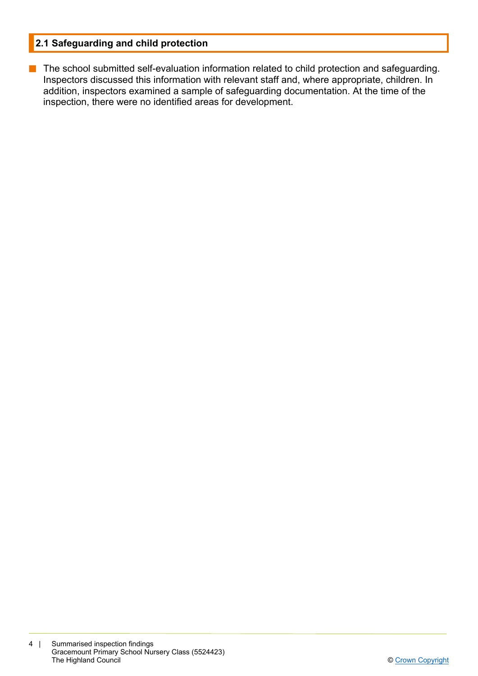### **2.1 Safeguarding and child protection**

**n** The school submitted self-evaluation information related to child protection and safeguarding. Inspectors discussed this information with relevant staff and, where appropriate, children. In addition, inspectors examined a sample of safeguarding documentation. At the time of the inspection, there were no identified areas for development.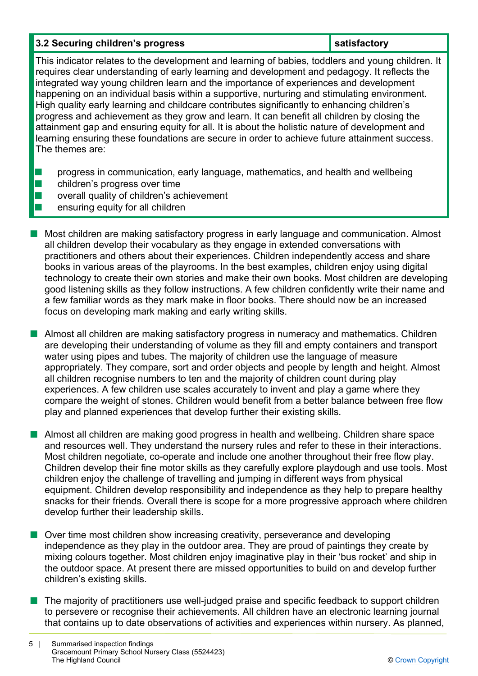### **3.2 Securing children's progress in the satisfactory in the satisfactory**  $\blacksquare$  satisfactory

This indicator relates to the development and learning of babies, toddlers and young children. It requires clear understanding of early learning and development and pedagogy. It reflects the integrated way young children learn and the importance of experiences and development happening on an individual basis within a supportive, nurturing and stimulating environment. High quality early learning and childcare contributes significantly to enhancing children's progress and achievement as they grow and learn. It can benefit all children by closing the attainment gap and ensuring equity for all. It is about the holistic nature of development and learning ensuring these foundations are secure in order to achieve future attainment success. The themes are:

- **n** progress in communication, early language, mathematics, and health and wellbeing
- $\blacksquare$  children's progress over time
- $\blacksquare$  overall quality of children's achievement
- n ensuring equity for all children
- n Most children are making satisfactory progress in early language and communication. Almost all children develop their vocabulary as they engage in extended conversations with practitioners and others about their experiences. Children independently access and share books in various areas of the playrooms. In the best examples, children enjoy using digital technology to create their own stories and make their own books. Most children are developing good listening skills as they follow instructions. A few children confidently write their name and a few familiar words as they mark make in floor books. There should now be an increased focus on developing mark making and early writing skills.

**n** Almost all children are making satisfactory progress in numeracy and mathematics. Children are developing their understanding of volume as they fill and empty containers and transport water using pipes and tubes. The majority of children use the language of measure appropriately. They compare, sort and order objects and people by length and height. Almost all children recognise numbers to ten and the majority of children count during play experiences. A few children use scales accurately to invent and play a game where they compare the weight of stones. Children would benefit from a better balance between free flow play and planned experiences that develop further their existing skills.

**Numost all children are making good progress in health and wellbeing. Children share space** and resources well. They understand the nursery rules and refer to these in their interactions. Most children negotiate, co-operate and include one another throughout their free flow play. Children develop their fine motor skills as they carefully explore playdough and use tools. Most children enjoy the challenge of travelling and jumping in different ways from physical equipment. Children develop responsibility and independence as they help to prepare healthy snacks for their friends. Overall there is scope for a more progressive approach where children develop further their leadership skills.

- $\blacksquare$  Over time most children show increasing creativity, perseverance and developing independence as they play in the outdoor area. They are proud of paintings they create by mixing colours together. Most children enjoy imaginative play in their 'bus rocket' and ship in the outdoor space. At present there are missed opportunities to build on and develop further children's existing skills.
- $\blacksquare$  The majority of practitioners use well-judged praise and specific feedback to support children to persevere or recognise their achievements. All children have an electronic learning journal that contains up to date observations of activities and experiences within nursery. As planned,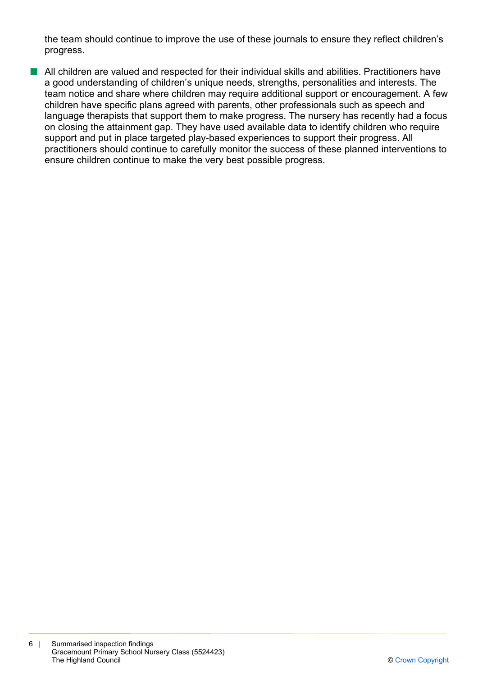the team should continue to improve the use of these journals to ensure they reflect children's progress.

■ All children are valued and respected for their individual skills and abilities. Practitioners have a good understanding of children's unique needs, strengths, personalities and interests. The team notice and share where children may require additional support or encouragement. A few children have specific plans agreed with parents, other professionals such as speech and language therapists that support them to make progress. The nursery has recently had a focus on closing the attainment gap. They have used available data to identify children who require support and put in place targeted play-based experiences to support their progress. All practitioners should continue to carefully monitor the success of these planned interventions to ensure children continue to make the very best possible progress.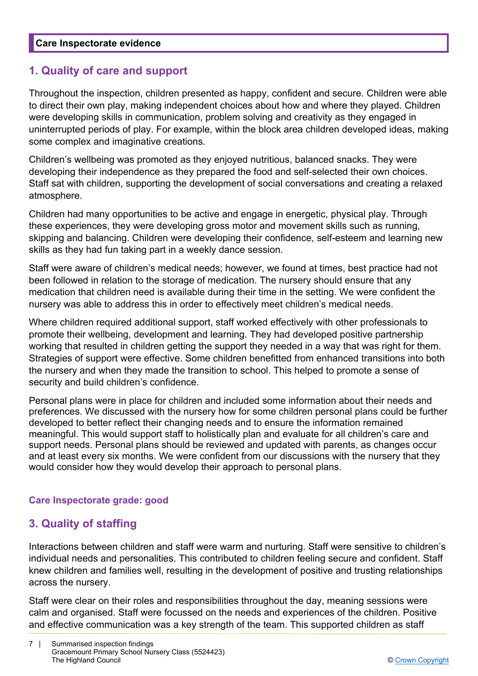### **1. Quality of care and support**

Throughout the inspection, children presented as happy, confident and secure. Children were able to direct their own play, making independent choices about how and where they played. Children were developing skills in communication, problem solving and creativity as they engaged in uninterrupted periods of play. For example, within the block area children developed ideas, making some complex and imaginative creations.

Children's wellbeing was promoted as they enjoyed nutritious, balanced snacks. They were developing their independence as they prepared the food and self-selected their own choices. Staff sat with children, supporting the development of social conversations and creating a relaxed atmosphere.

Children had many opportunities to be active and engage in energetic, physical play. Through these experiences, they were developing gross motor and movement skills such as running, skipping and balancing. Children were developing their confidence, self-esteem and learning new skills as they had fun taking part in a weekly dance session.

Staff were aware of children's medical needs; however, we found at times, best practice had not been followed in relation to the storage of medication. The nursery should ensure that any medication that children need is available during their time in the setting. We were confident the nursery was able to address this in order to effectively meet children's medical needs.

Where children required additional support, staff worked effectively with other professionals to promote their wellbeing, development and learning. They had developed positive partnership working that resulted in children getting the support they needed in a way that was right for them. Strategies of support were effective. Some children benefitted from enhanced transitions into both the nursery and when they made the transition to school. This helped to promote a sense of security and build children's confidence.

Personal plans were in place for children and included some information about their needs and preferences. We discussed with the nursery how for some children personal plans could be further developed to better reflect their changing needs and to ensure the information remained meaningful. This would support staff to holistically plan and evaluate for all children's care and support needs. Personal plans should be reviewed and updated with parents, as changes occur and at least every six months. We were confident from our discussions with the nursery that they would consider how they would develop their approach to personal plans.

### **Care Inspectorate grade: good**

### **3. Quality of staffing**

Interactions between children and staff were warm and nurturing. Staff were sensitive to children's individual needs and personalities. This contributed to children feeling secure and confident. Staff knew children and families well, resulting in the development of positive and trusting relationships across the nursery.

Staff were clear on their roles and responsibilities throughout the day, meaning sessions were calm and organised. Staff were focussed on the needs and experiences of the children. Positive and effective communication was a key strength of the team. This supported children as staff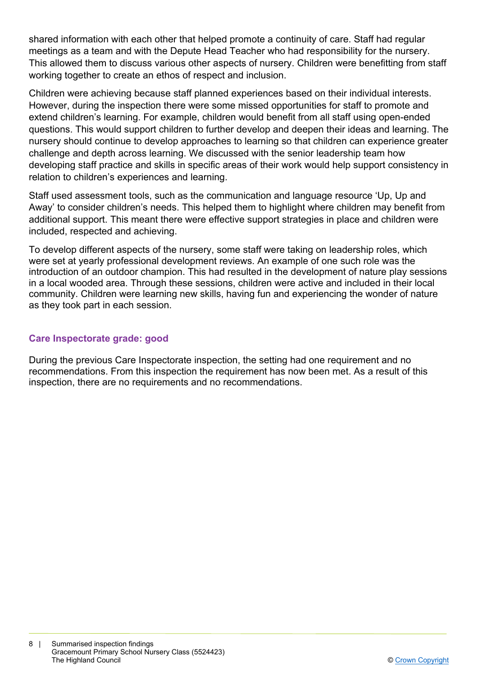shared information with each other that helped promote a continuity of care. Staff had regular meetings as a team and with the Depute Head Teacher who had responsibility for the nursery. This allowed them to discuss various other aspects of nursery. Children were benefitting from staff working together to create an ethos of respect and inclusion.

Children were achieving because staff planned experiences based on their individual interests. However, during the inspection there were some missed opportunities for staff to promote and extend children's learning. For example, children would benefit from all staff using open-ended questions. This would support children to further develop and deepen their ideas and learning. The nursery should continue to develop approaches to learning so that children can experience greater challenge and depth across learning. We discussed with the senior leadership team how developing staff practice and skills in specific areas of their work would help support consistency in relation to children's experiences and learning.

Staff used assessment tools, such as the communication and language resource 'Up, Up and Away' to consider children's needs. This helped them to highlight where children may benefit from additional support. This meant there were effective support strategies in place and children were included, respected and achieving.

To develop different aspects of the nursery, some staff were taking on leadership roles, which were set at yearly professional development reviews. An example of one such role was the introduction of an outdoor champion. This had resulted in the development of nature play sessions in a local wooded area. Through these sessions, children were active and included in their local community. Children were learning new skills, having fun and experiencing the wonder of nature as they took part in each session.

### **Care Inspectorate grade: good**

During the previous Care Inspectorate inspection, the setting had one requirement and no recommendations. From this inspection the requirement has now been met. As a result of this inspection, there are no requirements and no recommendations.